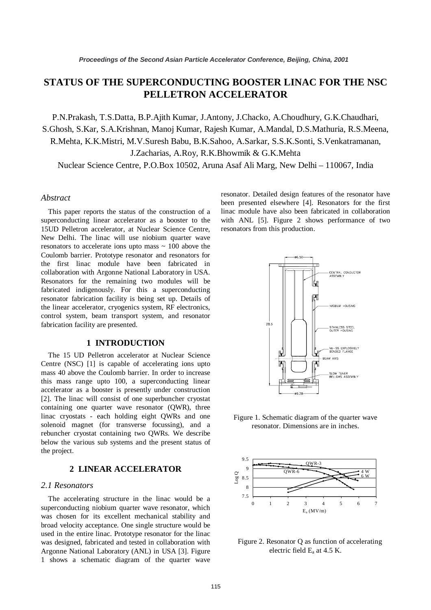# **STATUS OF THE SUPERCONDUCTING BOOSTER LINAC FOR THE NSC PELLETRON ACCELERATOR**

P.N.Prakash, T.S.Datta, B.P.Ajith Kumar, J.Antony, J.Chacko, A.Choudhury, G.K.Chaudhari,

S.Ghosh, S.Kar, S.A.Krishnan, Manoj Kumar, Rajesh Kumar, A.Mandal, D.S.Mathuria, R.S.Meena, R.Mehta, K.K.Mistri, M.V.Suresh Babu, B.K.Sahoo, A.Sarkar, S.S.K.Sonti, S.Venkatramanan,

J.Zacharias, A.Roy, R.K.Bhowmik & G.K.Mehta

Nuclear Science Centre, P.O.Box 10502, Aruna Asaf Ali Marg, New Delhi – 110067, India

#### *Abstract*

This paper reports the status of the construction of a superconducting linear accelerator as a booster to the 15UD Pelletron accelerator, at Nuclear Science Centre, New Delhi. The linac will use niobium quarter wave resonators to accelerate ions upto mass  $\sim$  100 above the Coulomb barrier. Prototype resonator and resonators for the first linac module have been fabricated in collaboration with Argonne National Laboratory in USA. Resonators for the remaining two modules will be fabricated indigenously. For this a superconducting resonator fabrication facility is being set up. Details of the linear accelerator, cryogenics system, RF electronics, control system, beam transport system, and resonator fabrication facility are presented.

# **1 INTRODUCTION**

The 15 UD Pelletron accelerator at Nuclear Science Centre (NSC) [1] is capable of accelerating ions upto mass 40 above the Coulomb barrier. In order to increase this mass range upto 100, a superconducting linear accelerator as a booster is presently under construction [2]. The linac will consist of one superbuncher cryostat containing one quarter wave resonator (QWR), three linac cryostats - each holding eight QWRs and one solenoid magnet (for transverse focussing), and a rebuncher cryostat containing two QWRs. We describe below the various sub systems and the present status of the project.

#### **2 LINEAR ACCELERATOR**

#### *2.1 Resonators*

The accelerating structure in the linac would be a superconducting niobium quarter wave resonator, which was chosen for its excellent mechanical stability and broad velocity acceptance. One single structure would be used in the entire linac. Prototype resonator for the linac was designed, fabricated and tested in collaboration with Argonne National Laboratory (ANL) in USA [3]. Figure 1 shows a schematic diagram of the quarter wave resonator. Detailed design features of the resonator have been presented elsewhere [4]. Resonators for the first linac module have also been fabricated in collaboration with ANL [5]. Figure 2 shows performance of two resonators from this production.



Figure 1. Schematic diagram of the quarter wave resonator. Dimensions are in inches.



 Figure 2. Resonator Q as function of accelerating electric field  $E_a$  at 4.5 K.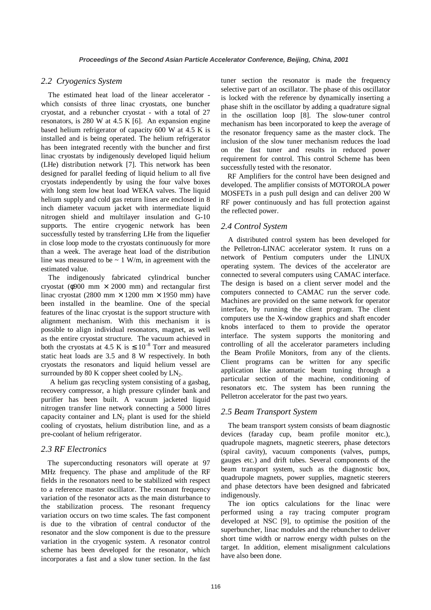### *2.2 Cryogenics System*

The estimated heat load of the linear accelerator which consists of three linac cryostats, one buncher cryostat, and a rebuncher cryostat - with a total of 27 resonators, is 280 W at 4.5 K [6]. An expansion engine based helium refrigerator of capacity 600 W at 4.5 K is installed and is being operated. The helium refrigerator has been integrated recently with the buncher and first linac cryostats by indigenously developed liquid helium (LHe) distribution network [7]. This network has been designed for parallel feeding of liquid helium to all five cryostats independently by using the four valve boxes with long stem low heat load WEKA valves. The liquid helium supply and cold gas return lines are enclosed in 8 inch diameter vacuum jacket with intermediate liquid nitrogen shield and multilayer insulation and G-10 supports. The entire cryogenic network has been successfully tested by transferring LHe from the liquefier in close loop mode to the cryostats continuously for more than a week. The average heat load of the distribution line was measured to be  $\sim 1$  W/m, in agreement with the estimated value.

The indigenously fabricated cylindrical buncher cryostat ( $\phi$ 900 mm  $\times$  2000 mm) and rectangular first linac cryostat (2800 mm  $\times$  1200 mm  $\times$  1950 mm) have been installed in the beamline. One of the special features of the linac cryostat is the support structure with alignment mechanism. With this mechanism it is possible to align individual resonators, magnet, as well as the entire cryostat structure. The vacuum achieved in both the cryostats at 4.5 K is  $\leq 10^{-8}$  Torr and measured static heat loads are 3.5 and 8 W respectively. In both cryostats the resonators and liquid helium vessel are surrounded by 80 K copper sheet cooled by  $LN_2$ .

 A helium gas recycling system consisting of a gasbag, recovery compressor, a high pressure cylinder bank and purifier has been built. A vacuum jacketed liquid nitrogen transfer line network connecting a 5000 litres capacity container and  $LN_2$  plant is used for the shield cooling of cryostats, helium distribution line, and as a pre-coolant of helium refrigerator.

#### *2.3 RF Electronics*

The superconducting resonators will operate at 97 MHz frequency. The phase and amplitude of the RF fields in the resonators need to be stabilized with respect to a reference master oscillator. The resonant frequency variation of the resonator acts as the main disturbance to the stabilization process. The resonant frequency variation occurs on two time scales. The fast component is due to the vibration of central conductor of the resonator and the slow component is due to the pressure variation in the cryogenic system. A resonator control scheme has been developed for the resonator, which incorporates a fast and a slow tuner section. In the fast tuner section the resonator is made the frequency selective part of an oscillator. The phase of this oscillator is locked with the reference by dynamically inserting a phase shift in the oscillator by adding a quadrature signal in the oscillation loop [8]. The slow-tuner control mechanism has been incorporated to keep the average of the resonator frequency same as the master clock. The inclusion of the slow tuner mechanism reduces the load on the fast tuner and results in reduced power requirement for control. This control Scheme has been successfully tested with the resonator.

RF Amplifiers for the control have been designed and developed. The amplifier consists of MOTOROLA power MOSFETs in a push pull design and can deliver 200 W RF power continuously and has full protection against the reflected power.

## *2.4 Control System*

A distributed control system has been developed for the Pelletron-LINAC accelerator system. It runs on a network of Pentium computers under the LINUX operating system. The devices of the accelerator are connected to several computers using CAMAC interface. The design is based on a client server model and the computers connected to CAMAC run the server code. Machines are provided on the same network for operator interface, by running the client program. The client computers use the X-window graphics and shaft encoder knobs interfaced to them to provide the operator interface. The system supports the monitoring and controlling of all the accelerator parameters including the Beam Profile Monitors, from any of the clients. Client programs can be written for any specific application like automatic beam tuning through a particular section of the machine, conditioning of resonators etc. The system has been running the Pelletron accelerator for the past two years.

## *2.5 Beam Transport System*

The beam transport system consists of beam diagnostic devices (faraday cup, beam profile monitor etc.), quadrupole magnets, magnetic steerers, phase detectors (spiral cavity), vacuum components (valves, pumps, gauges etc.) and drift tubes. Several components of the beam transport system, such as the diagnostic box, quadrupole magnets, power supplies, magnetic steerers and phase detectors have been designed and fabricated indigenously.

The ion optics calculations for the linac were performed using a ray tracing computer program developed at NSC [9], to optimise the position of the superbuncher, linac modules and the rebuncher to deliver short time width or narrow energy width pulses on the target. In addition, element misalignment calculations have also been done.